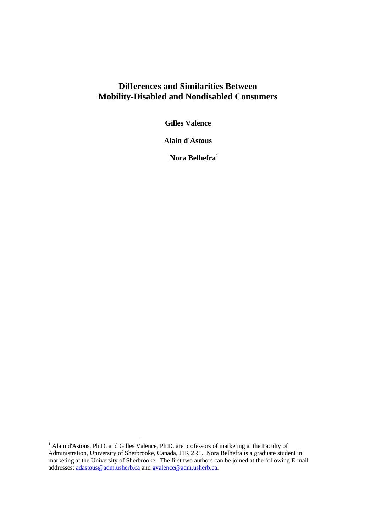# **Differences and Similarities Between Mobility-Disabled and Nondisabled Consumers**

**Gilles Valence**

**Alain d'Astous**

 **Nora Belhefra<sup>1</sup>**

 $\overline{a}$ 

<sup>&</sup>lt;sup>1</sup> Alain d'Astous, Ph.D. and Gilles Valence, Ph.D. are professors of marketing at the Faculty of Administration, University of Sherbrooke, Canada, J1K 2R1. Nora Belhefra is a graduate student in marketing at the University of Sherbrooke. The first two authors can be joined at the following E-mail addresses: adastous@adm.usherb.ca and gvalence@adm.usherb.ca.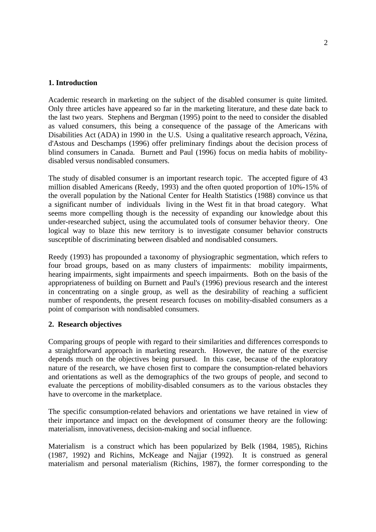### **1. Introduction**

Academic research in marketing on the subject of the disabled consumer is quite limited. Only three articles have appeared so far in the marketing literature, and these date back to the last two years. Stephens and Bergman (1995) point to the need to consider the disabled as valued consumers, this being a consequence of the passage of the Americans with Disabilities Act (ADA) in 1990 in the U.S. Using a qualitative research approach, Vézina, d'Astous and Deschamps (1996) offer preliminary findings about the decision process of blind consumers in Canada. Burnett and Paul (1996) focus on media habits of mobilitydisabled versus nondisabled consumers.

The study of disabled consumer is an important research topic. The accepted figure of 43 million disabled Americans (Reedy, 1993) and the often quoted proportion of 10%-15% of the overall population by the National Center for Health Statistics (1988) convince us that a significant number of individuals living in the West fit in that broad category. What seems more compelling though is the necessity of expanding our knowledge about this under-researched subject, using the accumulated tools of consumer behavior theory. One logical way to blaze this new territory is to investigate consumer behavior constructs susceptible of discriminating between disabled and nondisabled consumers.

Reedy (1993) has propounded a taxonomy of physiographic segmentation, which refers to four broad groups, based on as many clusters of impairments: mobility impairments, hearing impairments, sight impairments and speech impairments. Both on the basis of the appropriateness of building on Burnett and Paul's (1996) previous research and the interest in concentrating on a single group, as well as the desirability of reaching a sufficient number of respondents, the present research focuses on mobility-disabled consumers as a point of comparison with nondisabled consumers.

### **2. Research objectives**

Comparing groups of people with regard to their similarities and differences corresponds to a straightforward approach in marketing research. However, the nature of the exercise depends much on the objectives being pursued. In this case, because of the exploratory nature of the research, we have chosen first to compare the consumption-related behaviors and orientations as well as the demographics of the two groups of people, and second to evaluate the perceptions of mobility-disabled consumers as to the various obstacles they have to overcome in the marketplace.

The specific consumption-related behaviors and orientations we have retained in view of their importance and impact on the development of consumer theory are the following: materialism, innovativeness, decision-making and social influence.

Materialism is a construct which has been popularized by Belk (1984, 1985), Richins (1987, 1992) and Richins, McKeage and Najjar (1992). It is construed as general materialism and personal materialism (Richins, 1987), the former corresponding to the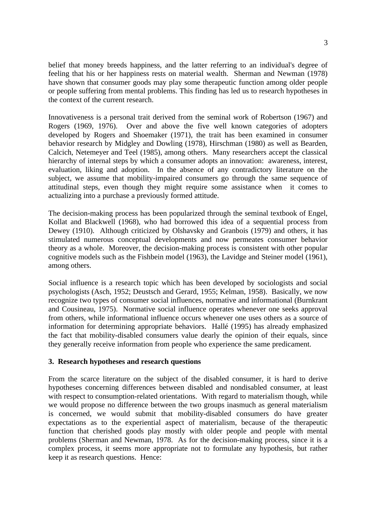belief that money breeds happiness, and the latter referring to an individual's degree of feeling that his or her happiness rests on material wealth. Sherman and Newman (1978) have shown that consumer goods may play some therapeutic function among older people or people suffering from mental problems. This finding has led us to research hypotheses in the context of the current research.

Innovativeness is a personal trait derived from the seminal work of Robertson (1967) and Rogers (1969, 1976). Over and above the five well known categories of adopters developed by Rogers and Shoemaker (1971), the trait has been examined in consumer behavior research by Midgley and Dowling (1978), Hirschman (1980) as well as Bearden, Calcich, Netemeyer and Teel (1985), among others. Many researchers accept the classical hierarchy of internal steps by which a consumer adopts an innovation: awareness, interest, evaluation, liking and adoption. In the absence of any contradictory literature on the subject, we assume that mobility-impaired consumers go through the same sequence of attitudinal steps, even though they might require some assistance when it comes to actualizing into a purchase a previously formed attitude.

The decision-making process has been popularized through the seminal textbook of Engel, Kollat and Blackwell (1968), who had borrowed this idea of a sequential process from Dewey (1910). Although criticized by Olshavsky and Granbois (1979) and others, it has stimulated numerous conceptual developments and now permeates consumer behavior theory as a whole. Moreover, the decision-making process is consistent with other popular cognitive models such as the Fishbein model (1963), the Lavidge and Steiner model (1961), among others.

Social influence is a research topic which has been developed by sociologists and social psychologists (Asch, 1952; Deustsch and Gerard, 1955; Kelman, 1958). Basically, we now recognize two types of consumer social influences, normative and informational (Burnkrant and Cousineau, 1975). Normative social influence operates whenever one seeks approval from others, while informational influence occurs whenever one uses others as a source of information for determining appropriate behaviors. Hallé (1995) has already emphasized the fact that mobility-disabled consumers value dearly the opinion of their equals, since they generally receive information from people who experience the same predicament.

### **3. Research hypotheses and research questions**

From the scarce literature on the subject of the disabled consumer, it is hard to derive hypotheses concerning differences between disabled and nondisabled consumer, at least with respect to consumption-related orientations. With regard to materialism though, while we would propose no difference between the two groups inasmuch as general materialism is concerned, we would submit that mobility-disabled consumers do have greater expectations as to the experiential aspect of materialism, because of the therapeutic function that cherished goods play mostly with older people and people with mental problems (Sherman and Newman, 1978. As for the decision-making process, since it is a complex process, it seems more appropriate not to formulate any hypothesis, but rather keep it as research questions. Hence: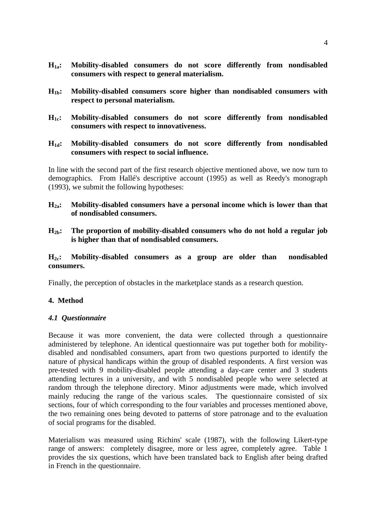- **H1a: Mobility-disabled consumers do not score differently from nondisabled consumers with respect to general materialism.**
- **H1b: Mobility-disabled consumers score higher than nondisabled consumers with respect to personal materialism.**
- **H1c: Mobility-disabled consumers do not score differently from nondisabled consumers with respect to innovativeness.**

### **H1d: Mobility-disabled consumers do not score differently from nondisabled consumers with respect to social influence.**

In line with the second part of the first research objective mentioned above, we now turn to demographics. From Hallé's descriptive account (1995) as well as Reedy's monograph (1993), we submit the following hypotheses:

## **H2a: Mobility-disabled consumers have a personal income which is lower than that of nondisabled consumers.**

**H2b: The proportion of mobility-disabled consumers who do not hold a regular job is higher than that of nondisabled consumers.**

## **H2c: Mobility-disabled consumers as a group are older than nondisabled consumers.**

Finally, the perception of obstacles in the marketplace stands as a research question.

# **4. Method**

### *4.1 Questionnaire*

Because it was more convenient, the data were collected through a questionnaire administered by telephone. An identical questionnaire was put together both for mobilitydisabled and nondisabled consumers, apart from two questions purported to identify the nature of physical handicaps within the group of disabled respondents. A first version was pre-tested with 9 mobility-disabled people attending a day-care center and 3 students attending lectures in a university, and with 5 nondisabled people who were selected at random through the telephone directory. Minor adjustments were made, which involved mainly reducing the range of the various scales. The questionnaire consisted of six sections, four of which corresponding to the four variables and processes mentioned above, the two remaining ones being devoted to patterns of store patronage and to the evaluation of social programs for the disabled.

Materialism was measured using Richins' scale (1987), with the following Likert-type range of answers: completely disagree, more or less agree, completely agree. Table 1 provides the six questions, which have been translated back to English after being drafted in French in the questionnaire.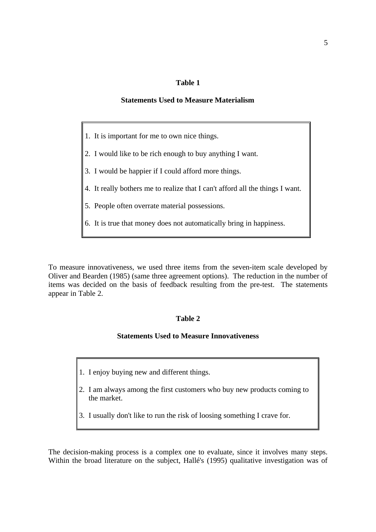### **Table 1**

#### **Statements Used to Measure Materialism**

- 1. It is important for me to own nice things.
- 2. I would like to be rich enough to buy anything I want.
- 3. I would be happier if I could afford more things.
- 4. It really bothers me to realize that I can't afford all the things I want.
- 5. People often overrate material possessions.
- 6. It is true that money does not automatically bring in happiness.

To measure innovativeness, we used three items from the seven-item scale developed by Oliver and Bearden (1985) (same three agreement options). The reduction in the number of items was decided on the basis of feedback resulting from the pre-test. The statements appear in Table 2.

#### **Table 2**

#### **Statements Used to Measure Innovativeness**

- 1. I enjoy buying new and different things.
- 2. I am always among the first customers who buy new products coming to the market.
- 3. I usually don't like to run the risk of loosing something I crave for.

The decision-making process is a complex one to evaluate, since it involves many steps. Within the broad literature on the subject, Hallé's (1995) qualitative investigation was of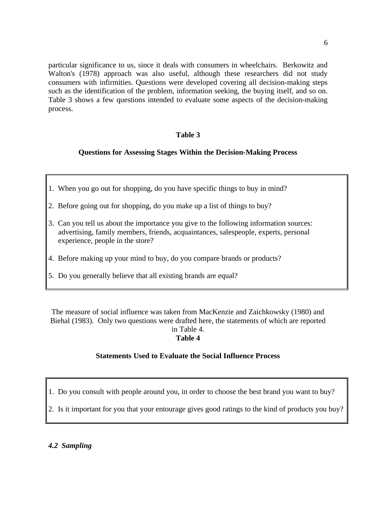particular significance to us, since it deals with consumers in wheelchairs. Berkowitz and Walton's (1978) approach was also useful, although these researchers did not study consumers with infirmities. Questions were developed covering all decision-making steps such as the identification of the problem, information seeking, the buying itself, and so on. Table 3 shows a few questions intended to evaluate some aspects of the decision-making process.

### **Table 3**

# **Questions for Assessing Stages Within the Decision-Making Process**

- 1. When you go out for shopping, do you have specific things to buy in mind?
- 2. Before going out for shopping, do you make up a list of things to buy?
- 3. Can you tell us about the importance you give to the following information sources: advertising, family members, friends, acquaintances, salespeople, experts, personal experience, people in the store?
- 4. Before making up your mind to buy, do you compare brands or products?
- 5. Do you generally believe that all existing brands are equal?

The measure of social influence was taken from MacKenzie and Zaichkowsky (1980) and Biehal (1983). Only two questions were drafted here, the statements of which are reported in Table 4.

# **Table 4**

### **Statements Used to Evaluate the Social Influence Process**

1. Do you consult with people around you, in order to choose the best brand you want to buy?

2. Is it important for you that your entourage gives good ratings to the kind of products you buy?

*4.2 Sampling*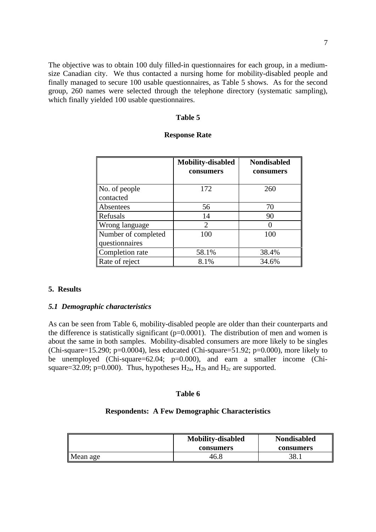The objective was to obtain 100 duly filled-in questionnaires for each group, in a mediumsize Canadian city. We thus contacted a nursing home for mobility-disabled people and finally managed to secure 100 usable questionnaires, as Table 5 shows. As for the second group, 260 names were selected through the telephone directory (systematic sampling), which finally yielded 100 usable questionnaires.

#### **Table 5**

#### **Response Rate**

|                     | <b>Mobility-disabled</b> | <b>Nondisabled</b> |
|---------------------|--------------------------|--------------------|
|                     | consumers                | consumers          |
|                     |                          |                    |
| No. of people       | 172                      | 260                |
| contacted           |                          |                    |
| Absentees           | 56                       | 70                 |
| Refusals            | 14                       | 90                 |
| Wrong language      | 2                        |                    |
| Number of completed | 100                      | 100                |
| questionnaires      |                          |                    |
| Completion rate     | 58.1%                    | 38.4%              |
| Rate of reject      | 8.1%                     | 34.6%              |

#### **5. Results**

#### *5.1 Demographic characteristics*

As can be seen from Table 6, mobility-disabled people are older than their counterparts and the difference is statistically significant (p=0.0001). The distribution of men and women is about the same in both samples. Mobility-disabled consumers are more likely to be singles (Chi-square=15.290; p=0.0004), less educated (Chi-square=51.92; p=0.000), more likely to be unemployed (Chi-square=62.04; p=0.000), and earn a smaller income (Chisquare=32.09; p=0.000). Thus, hypotheses  $H_{2a}$ ,  $H_{2b}$  and  $H_{2c}$  are supported.

#### **Table 6**

#### **Respondents: A Few Demographic Characteristics**

|          | <b>Mobility-disabled</b><br>consumers | <b>Nondisabled</b><br>consumers |
|----------|---------------------------------------|---------------------------------|
| Mean age | 46.8                                  | 38.                             |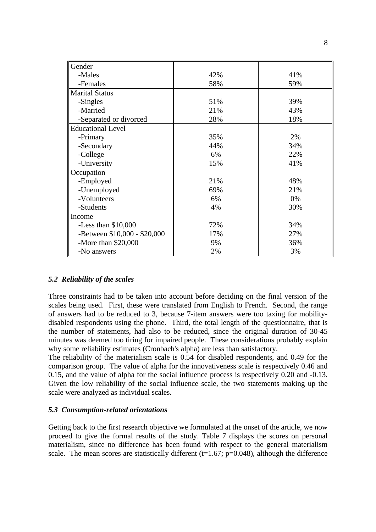| Gender                       |     |     |
|------------------------------|-----|-----|
| -Males                       | 42% | 41% |
| -Females                     | 58% | 59% |
| <b>Marital Status</b>        |     |     |
| -Singles                     | 51% | 39% |
| -Married                     | 21% | 43% |
| -Separated or divorced       | 28% | 18% |
| <b>Educational Level</b>     |     |     |
| -Primary                     | 35% | 2%  |
| -Secondary                   | 44% | 34% |
| -College                     | 6%  | 22% |
| -University                  | 15% | 41% |
| Occupation                   |     |     |
| -Employed                    | 21% | 48% |
| -Unemployed                  | 69% | 21% |
| -Volunteers                  | 6%  | 0%  |
| -Students                    | 4%  | 30% |
| Income                       |     |     |
| -Less than $$10,000$         | 72% | 34% |
| -Between \$10,000 - \$20,000 | 17% | 27% |
| -More than $$20,000$         | 9%  | 36% |
| -No answers                  | 2%  | 3%  |

### *5.2 Reliability of the scales*

Three constraints had to be taken into account before deciding on the final version of the scales being used. First, these were translated from English to French. Second, the range of answers had to be reduced to 3, because 7-item answers were too taxing for mobilitydisabled respondents using the phone. Third, the total length of the questionnaire, that is the number of statements, had also to be reduced, since the original duration of 30-45 minutes was deemed too tiring for impaired people. These considerations probably explain why some reliability estimates (Cronbach's alpha) are less than satisfactory.

The reliability of the materialism scale is 0.54 for disabled respondents, and 0.49 for the comparison group. The value of alpha for the innovativeness scale is respectively 0.46 and 0.15, and the value of alpha for the social influence process is respectively 0.20 and -0.13. Given the low reliability of the social influence scale, the two statements making up the scale were analyzed as individual scales.

#### *5.3 Consumption-related orientations*

Getting back to the first research objective we formulated at the onset of the article, we now proceed to give the formal results of the study. Table 7 displays the scores on personal materialism, since no difference has been found with respect to the general materialism scale. The mean scores are statistically different ( $t=1.67$ ;  $p=0.048$ ), although the difference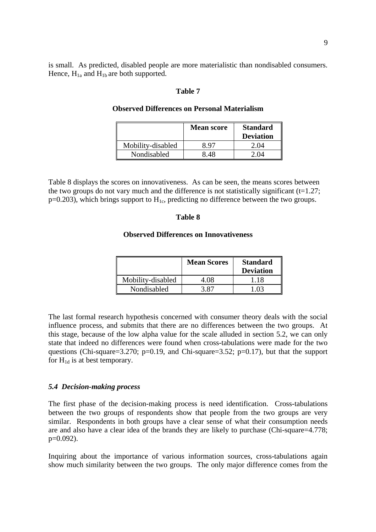is small. As predicted, disabled people are more materialistic than nondisabled consumers. Hence,  $H_{1a}$  and  $H_{1b}$  are both supported.

#### **Table 7**

|                   | <b>Mean score</b> | <b>Standard</b><br><b>Deviation</b> |
|-------------------|-------------------|-------------------------------------|
| Mobility-disabled | 8 97              | 2.04                                |
| Nondisabled       | 8.48              | 2 O.A                               |

### **Observed Differences on Personal Materialism**

Table 8 displays the scores on innovativeness. As can be seen, the means scores between the two groups do not vary much and the difference is not statistically significant  $(t=1.27)$ ;  $p=0.203$ ), which brings support to  $H_{1c}$ , predicting no difference between the two groups.

#### **Table 8**

### **Observed Differences on Innovativeness**

|                   | <b>Mean Scores</b> | <b>Standard</b><br><b>Deviation</b> |
|-------------------|--------------------|-------------------------------------|
| Mobility-disabled | 4.08               | 1.18                                |
| Nondisabled       | 3 87               | 1 በ3                                |

The last formal research hypothesis concerned with consumer theory deals with the social influence process, and submits that there are no differences between the two groups. At this stage, because of the low alpha value for the scale alluded in section 5.2, we can only state that indeed no differences were found when cross-tabulations were made for the two questions (Chi-square=3.270; p=0.19, and Chi-square=3.52; p=0.17), but that the support for  $H_{1d}$  is at best temporary.

#### *5.4 Decision-making process*

The first phase of the decision-making process is need identification. Cross-tabulations between the two groups of respondents show that people from the two groups are very similar. Respondents in both groups have a clear sense of what their consumption needs are and also have a clear idea of the brands they are likely to purchase (Chi-square=4.778; p=0.092).

Inquiring about the importance of various information sources, cross-tabulations again show much similarity between the two groups. The only major difference comes from the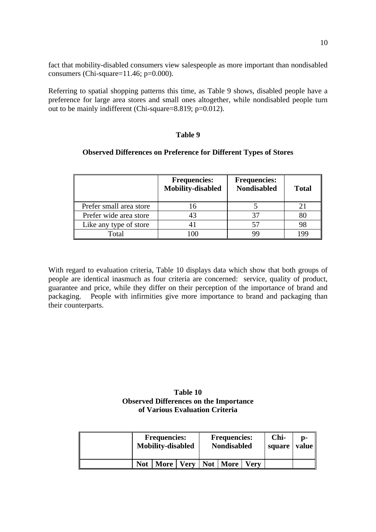fact that mobility-disabled consumers view salespeople as more important than nondisabled consumers (Chi-square= $11.46$ ; p= $0.000$ ).

Referring to spatial shopping patterns this time, as Table 9 shows, disabled people have a preference for large area stores and small ones altogether, while nondisabled people turn out to be mainly indifferent (Chi-square=8.819;  $p=0.012$ ).

### **Table 9**

#### **Observed Differences on Preference for Different Types of Stores**

|                         | <b>Frequencies:</b><br><b>Mobility-disabled</b> | <b>Frequencies:</b><br><b>Nondisabled</b> | <b>Total</b> |
|-------------------------|-------------------------------------------------|-------------------------------------------|--------------|
| Prefer small area store | 16                                              |                                           |              |
| Prefer wide area store  | 43                                              |                                           |              |
| Like any type of store  |                                                 |                                           |              |
| Total                   | 00                                              | QC                                        |              |

With regard to evaluation criteria, Table 10 displays data which show that both groups of people are identical inasmuch as four criteria are concerned: service, quality of product, guarantee and price, while they differ on their perception of the importance of brand and packaging. People with infirmities give more importance to brand and packaging than their counterparts.

### **Table 10 Observed Differences on the Importance of Various Evaluation Criteria**

| <b>Frequencies:</b><br><b>Mobility-disabled</b> |             | <b>Frequencies:</b><br><b>Nondisabled</b> |            |             | D-<br>value<br>square |  |
|-------------------------------------------------|-------------|-------------------------------------------|------------|-------------|-----------------------|--|
| <b>Not</b>                                      | <b>More</b> | .   Verv                                  | Not   More | <b>Verv</b> |                       |  |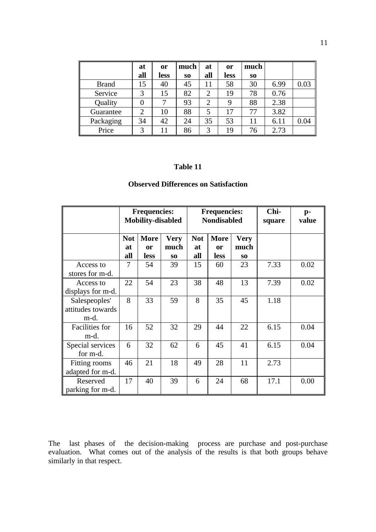|              | at             | <b>or</b> | much           | at             | <b>or</b>   | much           |      |      |
|--------------|----------------|-----------|----------------|----------------|-------------|----------------|------|------|
|              | all            | less      | S <sub>O</sub> | all            | <b>less</b> | S <sub>0</sub> |      |      |
| <b>Brand</b> | 15             | 40        | 45             | 11             | 58          | 30             | 6.99 | 0.03 |
| Service      | 3              | 15        | 82             | $\overline{2}$ | 19          | 78             | 0.76 |      |
| Quality      |                |           | 93             | っ              | 9           | 88             | 2.38 |      |
| Guarantee    | $\overline{2}$ | 10        | 88             | 5              | 17          | 77             | 3.82 |      |
| Packaging    | 34             | 42        | 24             | 35             | 53          | 11             | 6.11 | 0.04 |
| Price        | 3              | 11        | 86             | 3              | 19          | 76             | 2.73 |      |

#### **Table 11**

# **Observed Differences on Satisfaction**

|                                            |                         | <b>Frequencies:</b><br><b>Mobility-disabled</b> |                                       | <b>Frequencies:</b><br><b>Nondisabled</b> |                                  | Chi-<br>square                        | p-<br>value |      |
|--------------------------------------------|-------------------------|-------------------------------------------------|---------------------------------------|-------------------------------------------|----------------------------------|---------------------------------------|-------------|------|
|                                            | <b>Not</b><br>at<br>all | <b>More</b><br>or<br>less                       | <b>Very</b><br>much<br>S <sub>0</sub> | <b>Not</b><br>at<br>all                   | <b>More</b><br><b>or</b><br>less | <b>Very</b><br>much<br>S <sub>0</sub> |             |      |
| Access to<br>stores for m-d.               | 7                       | 54                                              | 39                                    | 15                                        | 60                               | 23                                    | 7.33        | 0.02 |
| Access to<br>displays for m-d.             | 22                      | 54                                              | 23                                    | 38                                        | 48                               | 13                                    | 7.39        | 0.02 |
| Salespeoples'<br>attitudes towards<br>m-d. | 8                       | 33                                              | 59                                    | 8                                         | 35                               | 45                                    | 1.18        |      |
| <b>Facilities</b> for<br>m-d.              | 16                      | 52                                              | 32                                    | 29                                        | 44                               | 22                                    | 6.15        | 0.04 |
| Special services<br>for m-d.               | 6                       | 32                                              | 62                                    | 6                                         | 45                               | 41                                    | 6.15        | 0.04 |
| Fitting rooms<br>adapted for m-d.          | 46                      | 21                                              | 18                                    | 49                                        | 28                               | 11                                    | 2.73        |      |
| Reserved<br>parking for m-d.               | 17                      | 40                                              | 39                                    | 6                                         | 24                               | 68                                    | 17.1        | 0.00 |

The last phases of the decision-making process are purchase and post-purchase evaluation. What comes out of the analysis of the results is that both groups behave similarly in that respect.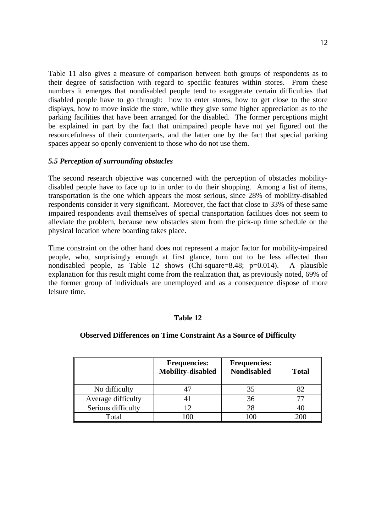Table 11 also gives a measure of comparison between both groups of respondents as to their degree of satisfaction with regard to specific features within stores. From these numbers it emerges that nondisabled people tend to exaggerate certain difficulties that disabled people have to go through: how to enter stores, how to get close to the store displays, how to move inside the store, while they give some higher appreciation as to the parking facilities that have been arranged for the disabled. The former perceptions might be explained in part by the fact that unimpaired people have not yet figured out the resourcefulness of their counterparts, and the latter one by the fact that special parking spaces appear so openly convenient to those who do not use them.

### *5.5 Perception of surrounding obstacles*

The second research objective was concerned with the perception of obstacles mobilitydisabled people have to face up to in order to do their shopping. Among a list of items, transportation is the one which appears the most serious, since 28% of mobility-disabled respondents consider it very significant. Moreover, the fact that close to 33% of these same impaired respondents avail themselves of special transportation facilities does not seem to alleviate the problem, because new obstacles stem from the pick-up time schedule or the physical location where boarding takes place.

Time constraint on the other hand does not represent a major factor for mobility-impaired people, who, surprisingly enough at first glance, turn out to be less affected than nondisabled people, as Table 12 shows (Chi-square=8.48; p=0.014). A plausible explanation for this result might come from the realization that, as previously noted, 69% of the former group of individuals are unemployed and as a consequence dispose of more leisure time.

### **Table 12**

#### **Observed Differences on Time Constraint As a Source of Difficulty**

|                    | <b>Frequencies:</b><br><b>Mobility-disabled</b> | <b>Frequencies:</b><br><b>Nondisabled</b> | <b>Total</b> |
|--------------------|-------------------------------------------------|-------------------------------------------|--------------|
| No difficulty      |                                                 |                                           |              |
| Average difficulty | 4 I                                             | 36                                        |              |
| Serious difficulty | 12                                              |                                           | 40           |
| Total              | -00                                             | 100                                       |              |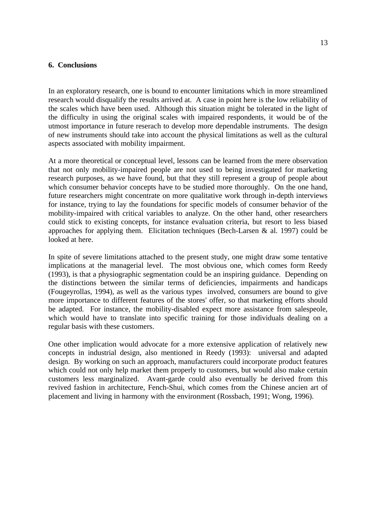### **6. Conclusions**

In an exploratory research, one is bound to encounter limitations which in more streamlined research would disqualify the results arrived at. A case in point here is the low reliability of the scales which have been used. Although this situation might be tolerated in the light of the difficulty in using the original scales with impaired respondents, it would be of the utmost importance in future reserach to develop more dependable instruments. The design of new instruments should take into account the physical limitations as well as the cultural aspects associated with mobility impairment.

At a more theoretical or conceptual level, lessons can be learned from the mere observation that not only mobility-impaired people are not used to being investigated for marketing research purposes, as we have found, but that they still represent a group of people about which consumer behavior concepts have to be studied more thoroughly. On the one hand, future researchers might concentrate on more qualitative work through in-depth interviews for instance, trying to lay the foundations for specific models of consumer behavior of the mobility-impaired with critical variables to analyze. On the other hand, other researchers could stick to existing concepts, for instance evaluation criteria, but resort to less biased approaches for applying them. Elicitation techniques (Bech-Larsen & al. 1997) could be looked at here.

In spite of severe limitations attached to the present study, one might draw some tentative implications at the managerial level. The most obvious one, which comes form Reedy (1993), is that a physiographic segmentation could be an inspiring guidance. Depending on the distinctions between the similar terms of deficiencies, impairments and handicaps (Fougeyrollas, 1994), as well as the various types involved, consumers are bound to give more importance to different features of the stores' offer, so that marketing efforts should be adapted. For instance, the mobility-disabled expect more assistance from salespeole, which would have to translate into specific training for those individuals dealing on a regular basis with these customers.

One other implication would advocate for a more extensive application of relatively new concepts in industrial design, also mentioned in Reedy (1993): universal and adapted design. By working on such an approach, manufacturers could incorporate product features which could not only help market them properly to customers, but would also make certain customers less marginalized. Avant-garde could also eventually be derived from this revived fashion in architecture, Fench-Shui, which comes from the Chinese ancien art of placement and living in harmony with the environment (Rossbach, 1991; Wong, 1996).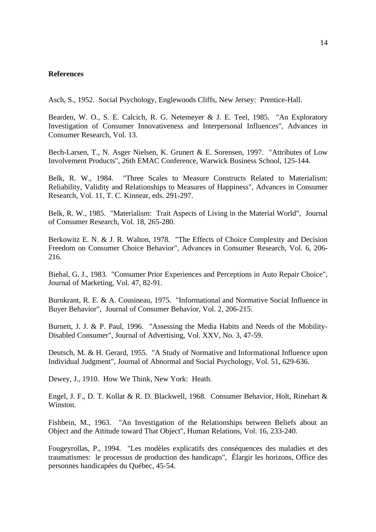#### **References**

Asch, S., 1952. Social Psychology, Englewoods Cliffs, New Jersey: Prentice-Hall.

Bearden, W. O., S. E. Calcich, R. G. Netemeyer & J. E. Teel, 1985. "An Exploratory Investigation of Consumer Innovativeness and Interpersonal Influences", Advances in Consumer Research, Vol. 13.

Bech-Larsen, T., N. Asger Nielsen, K. Grunert & E. Sorensen, 1997. "Attributes of Low Involvement Products", 26th EMAC Conference, Warwick Business School, 125-144.

Belk, R. W., 1984. "Three Scales to Measure Constructs Related to Materialism: Reliability, Validity and Relationships to Measures of Happiness", Advances in Consumer Research, Vol. 11, T. C. Kinnear, eds. 291-297.

Belk, R. W., 1985. "Materialism: Trait Aspects of Living in the Material World", Journal of Consumer Research, Vol. 18, 265-280.

Berkowitz E. N. & J. R. Walton, 1978. "The Effects of Choice Complexity and Decision Freedom on Consumer Choice Behavior", Advances in Consumer Research, Vol. 6, 206- 216.

Biehal, G. J., 1983. "Consumer Prior Experiences and Perceptions in Auto Repair Choice", Journal of Marketing, Vol. 47, 82-91.

Burnkrant, R. E. & A. Cousineau, 1975. "Informational and Normative Social Influence in Buyer Behavior", Journal of Consumer Behavior, Vol. 2, 206-215.

Burnett, J. J. & P. Paul, 1996. "Assessing the Media Habits and Needs of the Mobility-Disabled Consumer", Journal of Advertising, Vol. XXV, No. 3, 47-59.

Deutsch, M. & H. Gerard, 1955. "A Study of Normative and Informational Influence upon Individual Judgment", Journal of Abnormal and Social Psychology, Vol. 51, 629-636.

Dewey, J., 1910. How We Think, New York: Heath.

Engel, J. F., D. T. Kollat & R. D. Blackwell, 1968. Consumer Behavior, Holt, Rinehart & Winston.

Fishbein, M., 1963. "An Investigation of the Relationships between Beliefs about an Object and the Attitude toward That Object", Human Relations, Vol. 16, 233-240.

Fougeyrollas, P., 1994. "Les modèles explicatifs des conséquences des maladies et des traumatismes: le processus de production des handicaps", Élargir les horizons, Office des personnes handicapées du Québec, 45-54.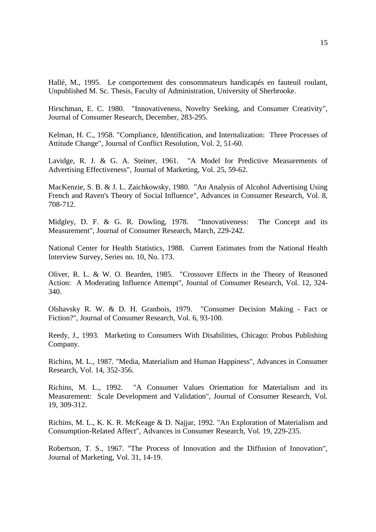Hallé, M., 1995. Le comportement des consommateurs handicapés en fauteuil roulant, Unpublished M. Sc. Thesis, Faculty of Administration, University of Sherbrooke.

Hirschman, E. C. 1980. "Innovativeness, Novelty Seeking, and Consumer Creativity", Journal of Consumer Research, December, 283-295.

Kelman, H. C., 1958. "Compliance, Identification, and Internalization: Three Processes of Attitude Change", Journal of Conflict Resolution, Vol. 2, 51-60.

Lavidge, R. J. & G. A. Steiner, 1961. "A Model for Predictive Measurements of Advertising Effectiveness", Journal of Marketing, Vol. 25, 59-62.

MacKenzie, S. B. & J. L. Zaichkowsky, 1980. "An Analysis of Alcohol Advertising Using French and Raven's Theory of Social Influence", Advances in Consumer Research, Vol. 8, 708-712.

Midgley, D. F. & G. R. Dowling, 1978. "Innovativeness: The Concept and its Measurement", Journal of Consumer Research, March, 229-242.

National Center for Health Statistics, 1988. Current Estimates from the National Health Interview Survey, Series no. 10, No. 173.

Oliver, R. L. & W. O. Bearden, 1985. "Crossover Effects in the Theory of Reasoned Action: A Moderating Influence Attempt", Journal of Consumer Research, Vol. 12, 324- 340.

Olshavsky R. W. & D. H. Granbois, 1979. "Consumer Decision Making - Fact or Fiction?", Journal of Consumer Research, Vol. 6, 93-100.

Reedy, J., 1993. Marketing to Consumers With Disabilities, Chicago: Probus Publishing Company.

Richins, M. L., 1987. "Media, Materialism and Human Happiness", Advances in Consumer Research, Vol. 14, 352-356.

Richins, M. L., 1992. "A Consumer Values Orientation for Materialism and its Measurement: Scale Development and Validation", Journal of Consumer Research, Vol. 19, 309-312.

Richins, M. L., K. K. R. McKeage & D. Najjar, 1992. "An Exploration of Materialism and Consumption-Related Affect", Advances in Consumer Research, Vol. 19, 229-235.

Robertson, T. S., 1967. "The Process of Innovation and the Diffusion of Innovation", Journal of Marketing, Vol. 31, 14-19.